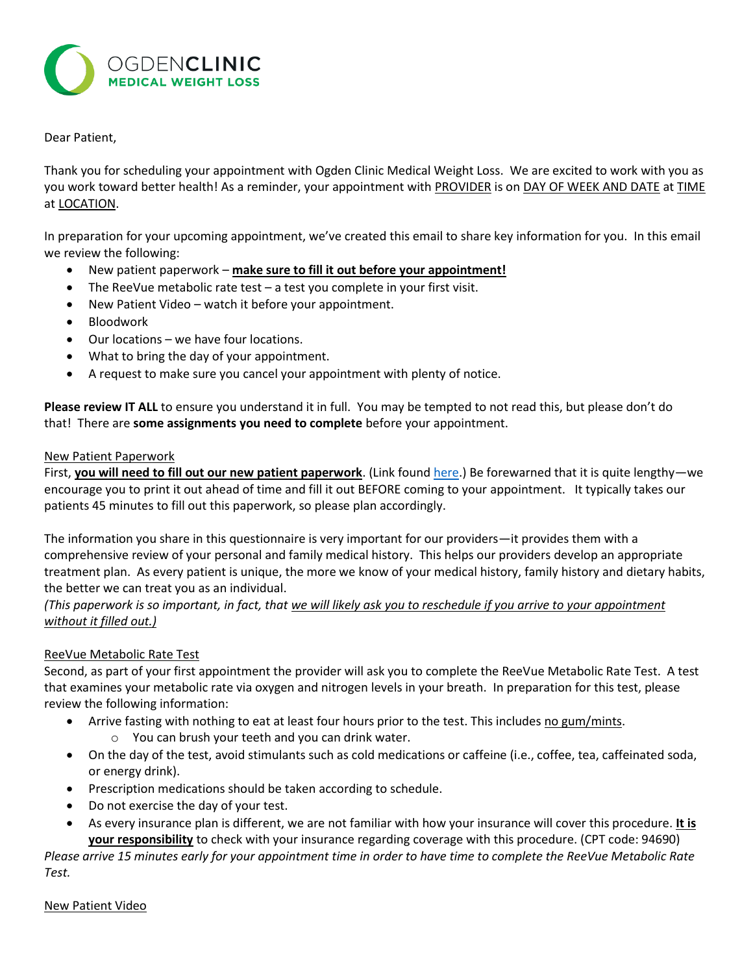

## Dear Patient,

Thank you for scheduling your appointment with Ogden Clinic Medical Weight Loss. We are excited to work with you as you work toward better health! As a reminder, your appointment with PROVIDER is on DAY OF WEEK AND DATE at TIME at LOCATION.

In preparation for your upcoming appointment, we've created this email to share key information for you. In this email we review the following:

- New patient paperwork **make sure to fill it out before your appointment!**
- The ReeVue metabolic rate test a test you complete in your first visit.
- New Patient Video watch it before your appointment.
- Bloodwork
- Our locations we have four locations.
- What to bring the day of your appointment.
- A request to make sure you cancel your appointment with plenty of notice.

**Please review IT ALL** to ensure you understand it in full. You may be tempted to not read this, but please don't do that! There are **some assignments you need to complete** before your appointment.

#### New Patient Paperwork

First, **you will need to fill out our new patient paperwork**. (Link foun[d here.](https://www.ogdenclinic.com/content/MedicalWeightLoss/FirstTimePatientPaperwork.pdf)) Be forewarned that it is quite lengthy—we encourage you to print it out ahead of time and fill it out BEFORE coming to your appointment. It typically takes our patients 45 minutes to fill out this paperwork, so please plan accordingly.

The information you share in this questionnaire is very important for our providers—it provides them with a comprehensive review of your personal and family medical history. This helps our providers develop an appropriate treatment plan. As every patient is unique, the more we know of your medical history, family history and dietary habits, the better we can treat you as an individual.

*(This paperwork is so important, in fact, that we will likely ask you to reschedule if you arrive to your appointment without it filled out.)*

### ReeVue Metabolic Rate Test

Second, as part of your first appointment the provider will ask you to complete the ReeVue Metabolic Rate Test. A test that examines your metabolic rate via oxygen and nitrogen levels in your breath. In preparation for this test, please review the following information:

- Arrive fasting with nothing to eat at least four hours prior to the test. This includes no gum/mints.
	- o You can brush your teeth and you can drink water.
- On the day of the test, avoid stimulants such as cold medications or caffeine (i.e., coffee, tea, caffeinated soda, or energy drink).
- Prescription medications should be taken according to schedule.
- Do not exercise the day of your test.
- As every insurance plan is different, we are not familiar with how your insurance will cover this procedure. **It is your responsibility** to check with your insurance regarding coverage with this procedure. (CPT code: 94690)

*Please arrive 15 minutes early for your appointment time in order to have time to complete the ReeVue Metabolic Rate Test.*

### New Patient Video